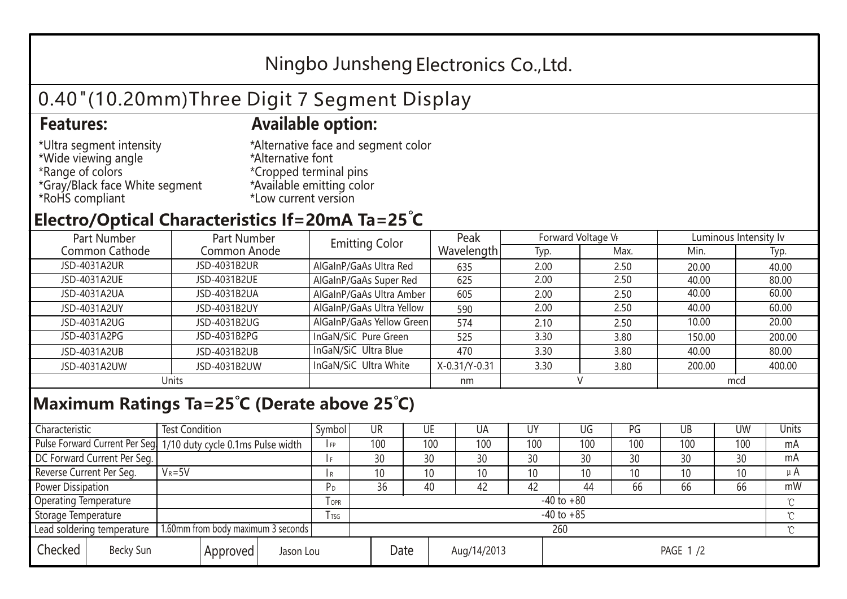## Ningbo Junsheng Electronics Co.,Ltd.

# 0.40"(10.20mm)Three Digit 7 Segment Display

#### **Features: Available option:**

- \*Ultra segment intensity \*Wide viewing angle \*Range of colors \*Gray/Black face White segment \*RoHS compliant
- \*Alternative face and segment color \*Alternative font \*Cropped terminal pins \*Available emitting color \*Low current version

### **Electro/Optical Characteristics If=20mA Ta=25 C**

| Part Number    | Part Number  |                           | Peak          | Forward Voltage VF |      | Luminous Intensity lv |        |  |
|----------------|--------------|---------------------------|---------------|--------------------|------|-----------------------|--------|--|
| Common Cathode | Common Anode | <b>Emitting Color</b>     | Wavelength    | Typ.               | Max. | Min.                  | Typ.   |  |
| JSD-4031A2UR   | JSD-4031B2UR | AlGaInP/GaAs Ultra Red    | 635           | 2.00               | 2.50 | 20.00                 | 40.00  |  |
| JSD-4031A2UE   | JSD-4031B2UE | AlGaInP/GaAs Super Red    | 625           | 2.00               | 2.50 | 40.00                 | 80.00  |  |
| JSD-4031A2UA   | JSD-4031B2UA | AlGaInP/GaAs Ultra Amber  | 605           | 2.00               | 2.50 | 40.00                 | 60.00  |  |
| JSD-4031A2UY   | JSD-4031B2UY | AlGaInP/GaAs Ultra Yellow | 590           | 2.00               | 2.50 | 40.00                 | 60.00  |  |
| JSD-4031A2UG   | JSD-4031B2UG | AlGaInP/GaAs Yellow Green | 574           | 2.10               | 2.50 | 10.00                 | 20.00  |  |
| JSD-4031A2PG   | JSD-4031B2PG | InGaN/SiC Pure Green      | 525           | 3.30               | 3.80 | 150.00                | 200.00 |  |
| JSD-4031A2UB   | JSD-4031B2UB | InGaN/SiC Ultra Blue      | 470           | 3.30               | 3.80 | 40.00                 | 80.00  |  |
| JSD-4031A2UW   | JSD-4031B2UW | InGaN/SiC Ultra White     | X-0.31/Y-0.31 | 3.30               | 3.80 | 200.00                | 400.00 |  |
| Units          |              |                           | nm            |                    |      | mcd                   |        |  |

#### **Maximum Ratings Ta=25°C (Derate above 25°C)**

| Characteristic                                |            | <b>Test Condition</b><br>Symbol                                  |                |                     | UR              |  | UE  | UA       | UY  | UG  | PG  | UB              | <b>UW</b> | <b>Units</b> |
|-----------------------------------------------|------------|------------------------------------------------------------------|----------------|---------------------|-----------------|--|-----|----------|-----|-----|-----|-----------------|-----------|--------------|
|                                               |            | Pulse Forward Current Per Seg. 1/10 duty cycle 0.1ms Pulse width |                |                     | 100             |  | 100 | 100      | 100 | 100 | 100 | 100             | 100       | mA           |
| DC Forward Current Per Seg.                   |            |                                                                  |                |                     | 30              |  | 30  | 30       | 30  | 30  | 30  | 30              | 30        | mA           |
| Reverse Current Per Seg.                      | $V_R = 5V$ |                                                                  |                | I R                 | 10 <sup>°</sup> |  | 10  | 10       | 10  | 10  | 10  | 10 <sup>°</sup> | 10        | $\mu$ A      |
| <b>Power Dissipation</b>                      |            |                                                                  |                |                     | 36              |  | 40  | 42       | 42  | 44  | 66  | 66              | 66        | mW           |
| <b>Operating Temperature</b>                  |            |                                                                  | $I$ OPR        | $-40$ to $+80$      |                 |  |     |          |     |     |     |                 | $\sim$    |              |
| Storage Temperature                           |            | <b>I</b> TSG                                                     | $-40$ to $+85$ |                     |                 |  |     |          |     |     |     | $\sim$          |           |              |
| Lead soldering temperature                    |            | 1.60mm from body maximum 3 seconds                               |                |                     | 260<br>$\gamma$ |  |     |          |     |     |     |                 |           |              |
| Checked<br>Becky Sun<br>Approved<br>Jason Lou |            |                                                                  |                | Date<br>Aug/14/2013 |                 |  |     | PAGE 1/2 |     |     |     |                 |           |              |